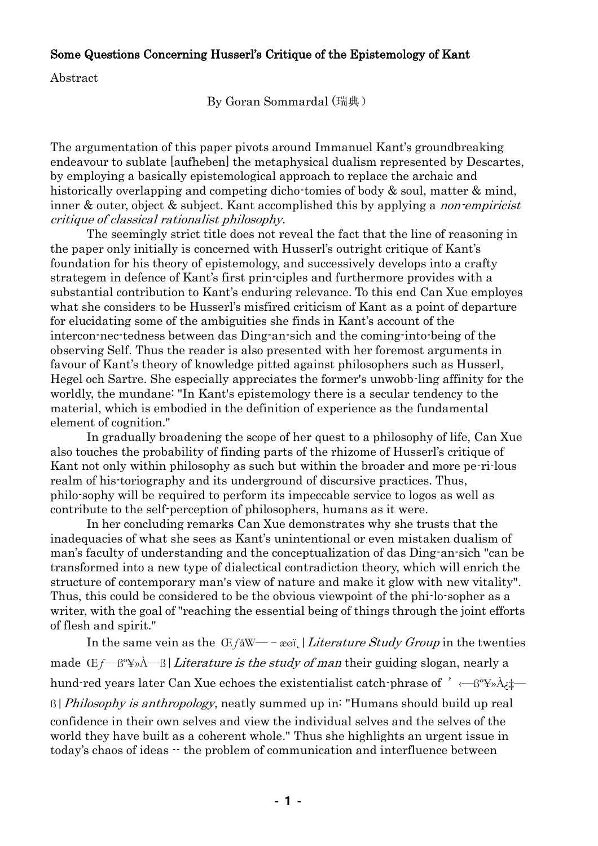## Some Questions Concerning Husserl's Critique of the Epistemology of Kant

Abstract

By Goran Sommardal (瑞典)

The argumentation of this paper pivots around Immanuel Kant's groundbreaking endeavour to sublate [aufheben] the metaphysical dualism represented by Descartes, by employing a basically epistemological approach to replace the archaic and historically overlapping and competing dicho-tomies of body & soul, matter & mind, inner & outer, object & subject. Kant accomplished this by applying a *non-empiricist* critique of classical rationalist philosophy.

The seemingly strict title does not reveal the fact that the line of reasoning in the paper only initially is concerned with Husserl's outright critique of Kant's foundation for his theory of epistemology, and successively develops into a crafty strategem in defence of Kant's first prin-ciples and furthermore provides with a substantial contribution to Kant's enduring relevance. To this end Can Xue employes what she considers to be Husserl's misfired criticism of Kant as a point of departure for elucidating some of the ambiguities she finds in Kant's account of the intercon-nec-tedness between das Ding-an-sich and the coming-into-being of the observing Self. Thus the reader is also presented with her foremost arguments in favour of Kant's theory of knowledge pitted against philosophers such as Husserl, Hegel och Sartre. She especially appreciates the former's unwobb-ling affinity for the worldly, the mundane: "In Kant's epistemology there is a secular tendency to the material, which is embodied in the definition of experience as the fundamental element of cognition."

In gradually broadening the scope of her quest to a philosophy of life, Can Xue also touches the probability of finding parts of the rhizome of Husserl's critique of Kant not only within philosophy as such but within the broader and more pe-ri-lous realm of his-toriography and its underground of discursive practices. Thus, philo-sophy will be required to perform its impeccable service to logos as well as contribute to the self-perception of philosophers, humans as it were.

In her concluding remarks Can Xue demonstrates why she trusts that the inadequacies of what she sees as Kant's unintentional or even mistaken dualism of man's faculty of understanding and the conceptualization of das Ding-an-sich "can be transformed into a new type of dialectical contradiction theory, which will enrich the structure of contemporary man's view of nature and make it glow with new vitality". Thus, this could be considered to be the obvious viewpoint of the phi-lo-sopher as a writer, with the goal of "reaching the essential being of things through the joint efforts of flesh and spirit."

In the same vein as the  $E f \& W \rightarrow \infty$  | Literature Study Group in the twenties made  $E_f$ — $\beta^{\alpha}$ y» $\hat{A}$ — $\beta$ | *Literature is the study of man* their guiding slogan, nearly a hund-red years later Can Xue echoes the existentialist catch-phrase of  $' \leftarrow \beta^{\circ} \rightarrow \lambda_i \uparrow \rightarrow \gamma$  $\beta$ | *Philosophy is anthropology*, neatly summed up in: "Humans should build up real confidence in their own selves and view the individual selves and the selves of the world they have built as a coherent whole." Thus she highlights an urgent issue in today's chaos of ideas -- the problem of communication and interfluence between